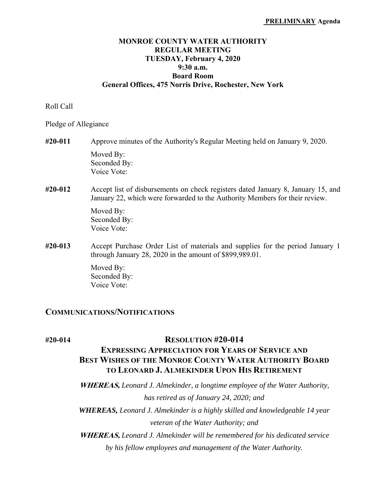#### **MONROE COUNTY WATER AUTHORITY REGULAR MEETING TUESDAY, February 4, 2020 9:30 a.m. Board Room General Offices, 475 Norris Drive, Rochester, New York**

#### Roll Call

Pledge of Allegiance

# **#20-011** Approve minutes of the Authority's Regular Meeting held on January 9, 2020. Moved By: Seconded By: Voice Vote:

## **#20-012** Accept list of disbursements on check registers dated January 8, January 15, and January 22, which were forwarded to the Authority Members for their review.

 Moved By: Seconded By: Voice Vote:

**#20-013** Accept Purchase Order List of materials and supplies for the period January 1 through January 28, 2020 in the amount of \$899,989.01.

> Moved By: Seconded By: Voice Vote:

# **COMMUNICATIONS/NOTIFICATIONS**

# **#20-014 RESOLUTION #20-014**

# **EXPRESSING APPRECIATION FOR YEARS OF SERVICE AND BEST WISHES OF THE MONROE COUNTY WATER AUTHORITY BOARD TO LEONARD J. ALMEKINDER UPON HIS RETIREMENT**

 **WHEREAS,** *Leonard J. Almekinder, a longtime employee of the Water Authority, has retired as of January 24, 2020; and* 

*WHEREAS, Leonard J. Almekinder is a highly skilled and knowledgeable 14 year veteran of the Water Authority; and* 

 **WHEREAS,** *Leonard J. Almekinder will be remembered for his dedicated service by his fellow employees and management of the Water Authority.*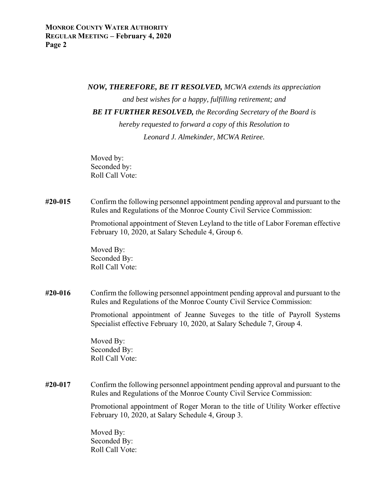#### *NOW, THEREFORE, BE IT RESOLVED, MCWA extends its appreciation*

 *and best wishes for a happy, fulfilling retirement; and* 

*BE IT FURTHER RESOLVED, the Recording Secretary of the Board is* 

 *hereby requested to forward a copy of this Resolution to Leonard J. Almekinder, MCWA Retiree.* 

Moved by: Seconded by: Roll Call Vote:

## **#20-015** Confirm the following personnel appointment pending approval and pursuant to the Rules and Regulations of the Monroe County Civil Service Commission:

 Promotional appointment of Steven Leyland to the title of Labor Foreman effective February 10, 2020, at Salary Schedule 4, Group 6.

 Moved By: Seconded By: Roll Call Vote:

**#20-016** Confirm the following personnel appointment pending approval and pursuant to the Rules and Regulations of the Monroe County Civil Service Commission:

> Promotional appointment of Jeanne Suveges to the title of Payroll Systems Specialist effective February 10, 2020, at Salary Schedule 7, Group 4.

 Moved By: Seconded By: Roll Call Vote:

**#20-017** Confirm the following personnel appointment pending approval and pursuant to the Rules and Regulations of the Monroe County Civil Service Commission:

> Promotional appointment of Roger Moran to the title of Utility Worker effective February 10, 2020, at Salary Schedule 4, Group 3.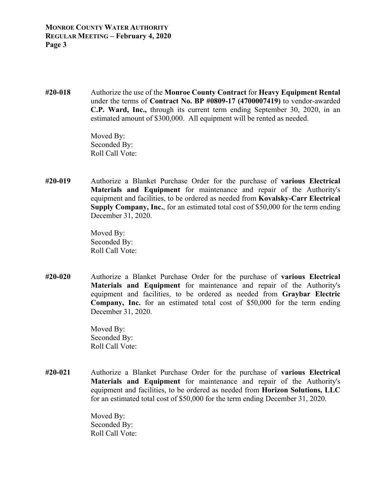**#20-018** Authorize the use of the **Monroe County Contract** for **Heavy Equipment Rental**  under the terms of **Contract No. BP #0809-17 (4700007419)** to vendor-awarded **C.P. Ward, Inc.,** through its current term ending September 30, 2020, in an estimated amount of \$300,000. All equipment will be rented as needed.

> Moved By: Seconded By: Roll Call Vote:

**#20-019** Authorize a Blanket Purchase Order for the purchase of **various Electrical Materials and Equipment** for maintenance and repair of the Authority's equipment and facilities, to be ordered as needed from **Kovalsky-Carr Electrical Supply Company, Inc.**, for an estimated total cost of \$50,000 for the term ending December 31, 2020.

> Moved By: Seconded By: Roll Call Vote:

**#20-020** Authorize a Blanket Purchase Order for the purchase of **various Electrical Materials and Equipment** for maintenance and repair of the Authority's equipment and facilities, to be ordered as needed from **Graybar Electric Company, Inc.** for an estimated total cost of \$50,000 for the term ending December 31, 2020.

> Moved By: Seconded By: Roll Call Vote:

**#20-021** Authorize a Blanket Purchase Order for the purchase of **various Electrical Materials and Equipment** for maintenance and repair of the Authority's equipment and facilities, to be ordered as needed from **Horizon Solutions, LLC** for an estimated total cost of \$50,000 for the term ending December 31, 2020.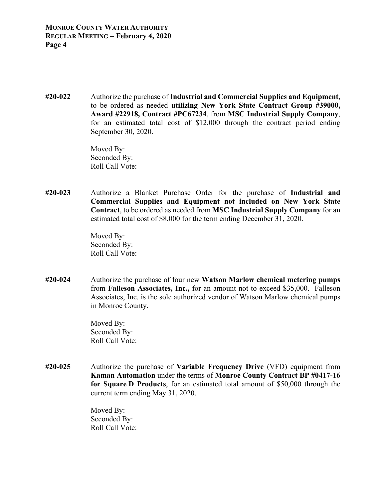**#20-022** Authorize the purchase of **Industrial and Commercial Supplies and Equipment**, to be ordered as needed **utilizing New York State Contract Group #39000, Award #22918, Contract #PC67234**, from **MSC Industrial Supply Company**, for an estimated total cost of \$12,000 through the contract period ending September 30, 2020.

> Moved By: Seconded By: Roll Call Vote:

**#20-023** Authorize a Blanket Purchase Order for the purchase of **Industrial and Commercial Supplies and Equipment not included on New York State Contract**, to be ordered as needed from **MSC Industrial Supply Company** for an estimated total cost of \$8,000 for the term ending December 31, 2020.

> Moved By: Seconded By: Roll Call Vote:

**#20-024** Authorize the purchase of four new **Watson Marlow chemical metering pumps** from **Falleson Associates, Inc.,** for an amount not to exceed \$35,000. Falleson Associates, Inc. is the sole authorized vendor of Watson Marlow chemical pumps in Monroe County.

> Moved By: Seconded By: Roll Call Vote:

**#20-025** Authorize the purchase of **Variable Frequency Drive** (VFD) equipment from **Kaman Automation** under the terms of **Monroe County Contract BP #0417-16 for Square D Products**, for an estimated total amount of \$50,000 through the current term ending May 31, 2020.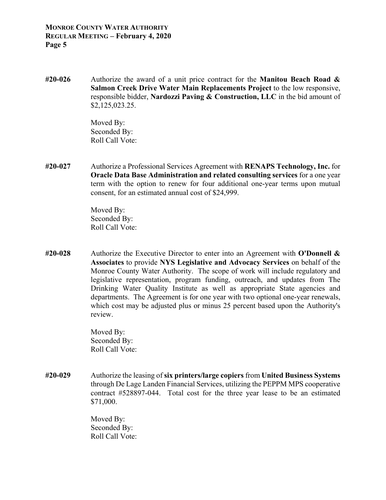**#20-026** Authorize the award of a unit price contract for the **Manitou Beach Road & Salmon Creek Drive Water Main Replacements Project** to the low responsive, responsible bidder, **Nardozzi Paving & Construction, LLC** in the bid amount of \$2,125,023.25.

> Moved By: Seconded By: Roll Call Vote:

**#20-027** Authorize a Professional Services Agreement with **RENAPS Technology, Inc.** for **Oracle Data Base Administration and related consulting services** for a one year term with the option to renew for four additional one-year terms upon mutual consent, for an estimated annual cost of \$24,999.

> Moved By: Seconded By: Roll Call Vote:

**#20-028** Authorize the Executive Director to enter into an Agreement with **O'Donnell & Associates** to provide **NYS Legislative and Advocacy Services** on behalf of the Monroe County Water Authority. The scope of work will include regulatory and legislative representation, program funding, outreach, and updates from The Drinking Water Quality Institute as well as appropriate State agencies and departments. The Agreement is for one year with two optional one-year renewals, which cost may be adjusted plus or minus 25 percent based upon the Authority's review.

> Moved By: Seconded By: Roll Call Vote:

**#20-029** Authorize the leasing of **six printers/large copiers** from **United Business Systems** through De Lage Landen Financial Services, utilizing the PEPPM MPS cooperative contract #528897-044. Total cost for the three year lease to be an estimated \$71,000.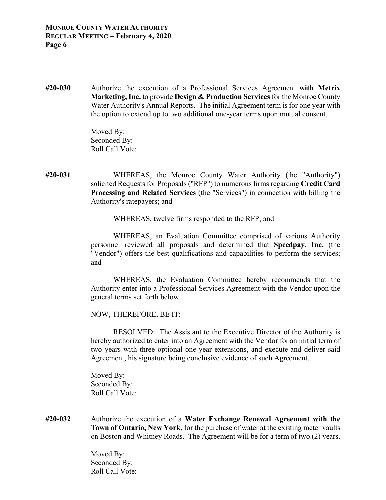**#20-030** Authorize the execution of a Professional Services Agreement **with Metrix Marketing, Inc.** to provide **Design & Production Services** for the Monroe County Water Authority's Annual Reports. The initial Agreement term is for one year with the option to extend up to two additional one-year terms upon mutual consent.

> Moved By: Seconded By: Roll Call Vote:

**#20-031** WHEREAS, the Monroe County Water Authority (the "Authority") solicited Requests for Proposals ("RFP") to numerous firms regarding **Credit Card Processing and Related Services** (the "Services") in connection with billing the Authority's ratepayers; and

WHEREAS, twelve firms responded to the RFP; and

 WHEREAS, an Evaluation Committee comprised of various Authority personnel reviewed all proposals and determined that **Speedpay, Inc.** (the "Vendor") offers the best qualifications and capabilities to perform the services; and

 WHEREAS, the Evaluation Committee hereby recommends that the Authority enter into a Professional Services Agreement with the Vendor upon the general terms set forth below.

NOW, THEREFORE, BE IT:

RESOLVED: The Assistant to the Executive Director of the Authority is hereby authorized to enter into an Agreement with the Vendor for an initial term of two years with three optional one-year extensions, and execute and deliver said Agreement, his signature being conclusive evidence of such Agreement.

 Moved By: Seconded By: Roll Call Vote:

**#20-032** Authorize the execution of a **Water Exchange Renewal Agreement with the Town of Ontario, New York,** for the purchase of water at the existing meter vaults on Boston and Whitney Roads. The Agreement will be for a term of two (2) years.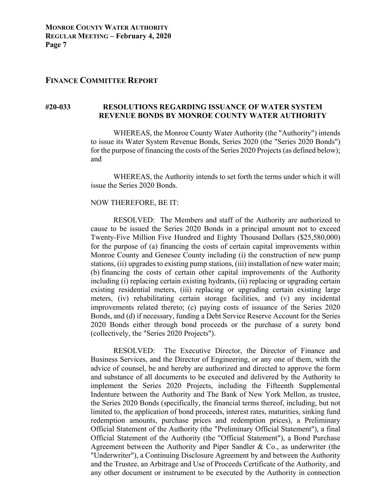#### **FINANCE COMMITTEE REPORT**

#### **#20-033 RESOLUTIONS REGARDING ISSUANCE OF WATER SYSTEM REVENUE BONDS BY MONROE COUNTY WATER AUTHORITY**

 WHEREAS, the Monroe County Water Authority (the "Authority") intends to issue its Water System Revenue Bonds, Series 2020 (the "Series 2020 Bonds") for the purpose of financing the costs of the Series 2020 Projects (as defined below); and

 WHEREAS, the Authority intends to set forth the terms under which it will issue the Series 2020 Bonds.

#### NOW THEREFORE, BE IT:

 RESOLVED: The Members and staff of the Authority are authorized to cause to be issued the Series 2020 Bonds in a principal amount not to exceed Twenty-Five Million Five Hundred and Eighty Thousand Dollars (\$25,580,000) for the purpose of (a) financing the costs of certain capital improvements within Monroe County and Genesee County including (i) the construction of new pump stations, (ii) upgrades to existing pump stations, (iii) installation of new water main; (b) financing the costs of certain other capital improvements of the Authority including (i) replacing certain existing hydrants, (ii) replacing or upgrading certain existing residential meters, (iii) replacing or upgrading certain existing large meters, (iv) rehabilitating certain storage facilities, and (v) any incidental improvements related thereto; (c) paying costs of issuance of the Series 2020 Bonds, and (d) if necessary, funding a Debt Service Reserve Account for the Series 2020 Bonds either through bond proceeds or the purchase of a surety bond (collectively, the "Series 2020 Projects").

 RESOLVED: The Executive Director, the Director of Finance and Business Services, and the Director of Engineering, or any one of them, with the advice of counsel, be and hereby are authorized and directed to approve the form and substance of all documents to be executed and delivered by the Authority to implement the Series 2020 Projects, including the Fifteenth Supplemental Indenture between the Authority and The Bank of New York Mellon, as trustee, the Series 2020 Bonds (specifically, the financial terms thereof, including, but not limited to, the application of bond proceeds, interest rates, maturities, sinking fund redemption amounts, purchase prices and redemption prices), a Preliminary Official Statement of the Authority (the "Preliminary Official Statement"), a final Official Statement of the Authority (the "Official Statement"), a Bond Purchase Agreement between the Authority and Piper Sandler & Co., as underwriter (the "Underwriter"), a Continuing Disclosure Agreement by and between the Authority and the Trustee, an Arbitrage and Use of Proceeds Certificate of the Authority, and any other document or instrument to be executed by the Authority in connection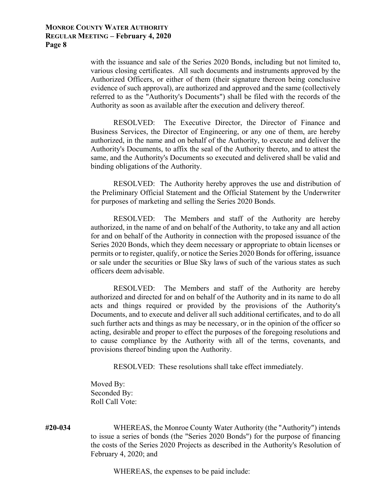with the issuance and sale of the Series 2020 Bonds, including but not limited to, various closing certificates. All such documents and instruments approved by the Authorized Officers, or either of them (their signature thereon being conclusive evidence of such approval), are authorized and approved and the same (collectively referred to as the "Authority's Documents") shall be filed with the records of the Authority as soon as available after the execution and delivery thereof.

 RESOLVED: The Executive Director, the Director of Finance and Business Services, the Director of Engineering, or any one of them, are hereby authorized, in the name and on behalf of the Authority, to execute and deliver the Authority's Documents, to affix the seal of the Authority thereto, and to attest the same, and the Authority's Documents so executed and delivered shall be valid and binding obligations of the Authority.

 RESOLVED: The Authority hereby approves the use and distribution of the Preliminary Official Statement and the Official Statement by the Underwriter for purposes of marketing and selling the Series 2020 Bonds.

 RESOLVED: The Members and staff of the Authority are hereby authorized, in the name of and on behalf of the Authority, to take any and all action for and on behalf of the Authority in connection with the proposed issuance of the Series 2020 Bonds, which they deem necessary or appropriate to obtain licenses or permits or to register, qualify, or notice the Series 2020 Bonds for offering, issuance or sale under the securities or Blue Sky laws of such of the various states as such officers deem advisable.

 RESOLVED: The Members and staff of the Authority are hereby authorized and directed for and on behalf of the Authority and in its name to do all acts and things required or provided by the provisions of the Authority's Documents, and to execute and deliver all such additional certificates, and to do all such further acts and things as may be necessary, or in the opinion of the officer so acting, desirable and proper to effect the purposes of the foregoing resolutions and to cause compliance by the Authority with all of the terms, covenants, and provisions thereof binding upon the Authority.

RESOLVED: These resolutions shall take effect immediately.

 Moved By: Seconded By: Roll Call Vote:

**#20-034** WHEREAS, the Monroe County Water Authority (the "Authority") intends to issue a series of bonds (the "Series 2020 Bonds") for the purpose of financing the costs of the Series 2020 Projects as described in the Authority's Resolution of February 4, 2020; and

WHEREAS, the expenses to be paid include: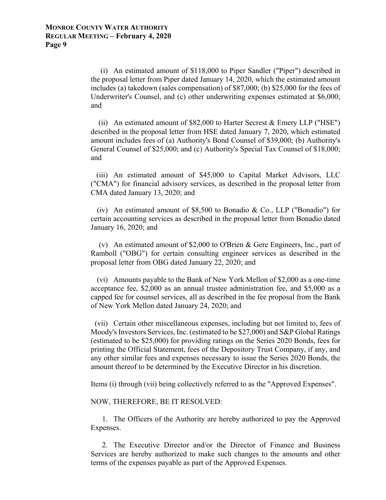(i) An estimated amount of \$118,000 to Piper Sandler ("Piper") described in the proposal letter from Piper dated January 14, 2020, which the estimated amount includes (a) takedown (sales compensation) of \$87,000; (b) \$25,000 for the fees of Underwriter's Counsel, and (c) other underwriting expenses estimated at \$6,000; and

 (ii) An estimated amount of \$82,000 to Harter Secrest & Emery LLP ("HSE") described in the proposal letter from HSE dated January 7, 2020, which estimated amount includes fees of (a) Authority's Bond Counsel of \$39,000; (b) Authority's General Counsel of \$25,000; and (c) Authority's Special Tax Counsel of \$18,000; and

 (iii) An estimated amount of \$45,000 to Capital Market Advisors, LLC ("CMA") for financial advisory services, as described in the proposal letter from CMA dated January 13, 2020; and

 (iv) An estimated amount of \$8,500 to Bonadio & Co., LLP ("Bonadio") for certain accounting services as described in the proposal letter from Bonadio dated January 16, 2020; and

 (v) An estimated amount of \$2,000 to O'Brien & Gere Engineers, Inc., part of Ramboll ("OBG") for certain consulting engineer services as described in the proposal letter from OBG dated January 22, 2020; and

 (vi) Amounts payable to the Bank of New York Mellon of \$2,000 as a one-time acceptance fee, \$2,000 as an annual trustee administration fee, and \$5,000 as a capped fee for counsel services, all as described in the fee proposal from the Bank of New York Mellon dated January 24, 2020; and

 (vii) Certain other miscellaneous expenses, including but not limited to, fees of Moody's Investors Services, Inc. (estimated to be \$27,000) and S&P Global Ratings (estimated to be \$25,000) for providing ratings on the Series 2020 Bonds, fees for printing the Official Statement, fees of the Depository Trust Company, if any, and any other similar fees and expenses necessary to issue the Series 2020 Bonds, the amount thereof to be determined by the Executive Director in his discretion.

Items (i) through (vii) being collectively referred to as the "Approved Expenses".

NOW, THEREFORE, BE IT RESOLVED:

 1. The Officers of the Authority are hereby authorized to pay the Approved Expenses.

 2. The Executive Director and/or the Director of Finance and Business Services are hereby authorized to make such changes to the amounts and other terms of the expenses payable as part of the Approved Expenses.